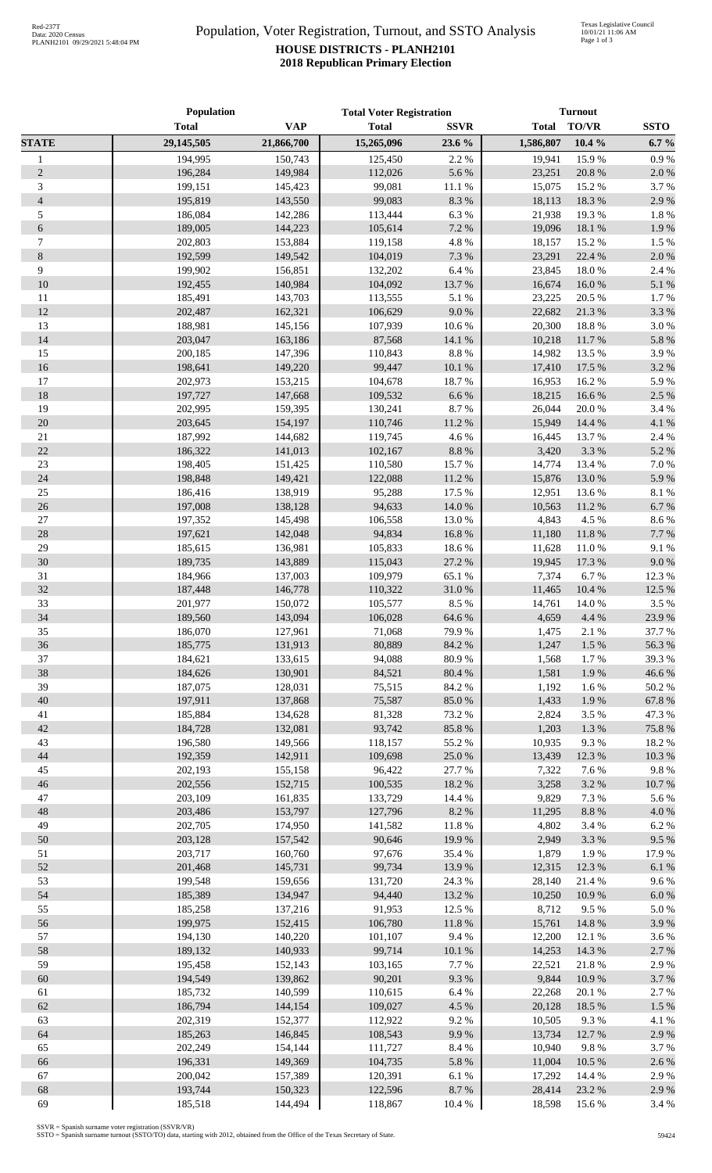## Population, Voter Registration, Turnout, and SSTO Analysis **HOUSE DISTRICTS - PLANH2101 2018 Republican Primary Election**

|                             | Population         |                    | <b>Total Voter Registration</b> |                 | <b>Turnout</b>   |                  |                  |
|-----------------------------|--------------------|--------------------|---------------------------------|-----------------|------------------|------------------|------------------|
|                             | <b>Total</b>       | <b>VAP</b>         | <b>Total</b>                    | <b>SSVR</b>     | <b>Total</b>     | <b>TO/VR</b>     | <b>SSTO</b>      |
| <b>STATE</b>                | 29,145,505         | 21,866,700         | 15,265,096                      | 23.6 %          | 1,586,807        | $10.4 \%$        | $6.7 \%$         |
| $\mathbf{1}$                | 194,995            | 150,743            | 125,450                         | 2.2%            | 19,941           | 15.9%            | 0.9%             |
| $\overline{2}$              | 196,284            | 149,984            | 112,026                         | 5.6 %           | 23,251           | 20.8%            | 2.0%             |
| $\ensuremath{\mathfrak{Z}}$ | 199,151            | 145,423            | 99,081                          | 11.1 %          | 15,075           | 15.2 %           | 3.7%             |
| $\overline{4}$              | 195,819            | 143,550            | 99,083                          | 8.3 %           | 18,113           | 18.3%            | 2.9%             |
| 5                           | 186,084            | 142,286            | 113,444                         | 6.3%            | 21,938           | 19.3%            | 1.8%             |
| 6                           | 189,005            | 144,223            | 105,614                         | 7.2 %           | 19,096           | 18.1 %           | 1.9%             |
| $\tau$                      | 202,803            | 153,884            | 119,158                         | 4.8 %           | 18,157           | 15.2 %           | 1.5 %            |
| $\,8\,$                     | 192,599            | 149,542            | 104,019                         | 7.3 %           | 23,291           | 22.4 %           | 2.0%             |
| 9                           | 199,902            | 156,851            | 132,202                         | 6.4%            | 23,845           | 18.0%            | 2.4 %            |
| 10                          | 192,455            | 140,984            | 104,092                         | 13.7%           | 16,674           | 16.0%            | 5.1 %            |
| 11                          | 185,491            | 143,703            | 113,555                         | 5.1 %           | 23,225           | 20.5 %           | 1.7%             |
| 12                          | 202,487            | 162,321            | 106,629                         | 9.0 %           | 22,682           | 21.3%            | 3.3%             |
| 13                          | 188,981            | 145,156            | 107,939                         | 10.6%           | 20,300           | 18.8%            | 3.0%             |
| 14                          | 203,047            | 163,186            | 87,568                          | 14.1 %          | 10,218           | 11.7%            | 5.8%             |
| 15                          | 200,185            | 147,396            | 110,843                         | $8.8\ \%$       | 14,982           | 13.5 %           | 3.9%             |
| 16                          | 198,641            | 149,220            | 99,447                          | 10.1%           | 17,410           | 17.5 %           | 3.2%             |
| $17\,$                      | 202,973            | 153,215            | 104,678                         | 18.7%           | 16,953           | 16.2%            | 5.9%             |
| 18                          | 197,727            | 147,668            | 109,532                         | 6.6%            | 18,215           | 16.6%            | 2.5 %            |
| 19                          | 202,995            | 159,395            | 130,241                         | 8.7%            | 26,044           | 20.0%            | 3.4 %            |
| 20                          | 203,645            | 154,197            | 110,746                         | 11.2 %          | 15,949           | 14.4 %           | 4.1 %            |
| $21\,$                      | 187,992            | 144,682            | 119,745                         | 4.6%            | 16,445           | 13.7%            | 2.4 %            |
| 22                          | 186,322            | 141,013            | 102,167                         | $8.8\ \%$       | 3,420            | 3.3%             | 5.2 %            |
| 23                          | 198,405            | 151,425            | 110,580                         | 15.7%           | 14,774           | 13.4 %           | 7.0%             |
| 24                          | 198,848            | 149,421            | 122,088                         | 11.2 %          | 15,876           | 13.0%            | 5.9%             |
| 25                          | 186,416            | 138,919            | 95,288                          | 17.5 %          | 12,951           | 13.6%            | 8.1%             |
| 26                          | 197,008            | 138,128            | 94,633                          | 14.0%           | 10,563           | 11.2%            | 6.7%             |
| $27\,$                      | 197,352            | 145,498            | 106,558                         | 13.0%           | 4,843            | 4.5 %            | 8.6%             |
| 28                          | 197,621            | 142,048            | 94,834                          | 16.8%           | 11,180           | 11.8%            | 7.7 %            |
| 29<br>30                    | 185,615            | 136,981            | 105,833                         | 18.6%           | 11,628           | 11.0%            | 9.1%             |
| 31                          | 189,735            | 143,889            | 115,043                         | 27.2 %          | 19,945           | 17.3 %           | 9.0%             |
| $32\,$                      | 184,966<br>187,448 | 137,003<br>146,778 | 109,979<br>110,322              | 65.1 %<br>31.0% | 7,374<br>11,465  | 6.7%<br>10.4 %   | 12.3 %<br>12.5 % |
| 33                          | 201,977            | 150,072            | 105,577                         | 8.5 %           | 14,761           | 14.0%            | 3.5 %            |
| 34                          | 189,560            | 143,094            | 106,028                         | 64.6 %          | 4,659            | 4.4 %            | 23.9%            |
| 35                          | 186,070            | 127,961            | 71,068                          | 79.9 %          | 1,475            | 2.1 %            | 37.7 %           |
| 36                          | 185,775            | 131,913            | 80,889                          | 84.2 %          | 1,247            | 1.5 %            | 56.3%            |
| 37                          | 184,621            | 133,615            | 94,088                          | 80.9%           | 1,568            | 1.7%             | 39.3%            |
| 38                          | 184,626            | 130,901            | 84,521                          | 80.4 %          | 1,581            | 1.9%             | 46.6%            |
| 39                          | 187,075            | 128,031            | 75,515                          | 84.2%           | 1,192            | 1.6%             | 50.2%            |
| $40\,$                      | 197,911            | 137,868            | 75,587                          | 85.0%           | 1,433            | 1.9%             | 67.8%            |
| 41                          | 185,884            | 134,628            | 81,328                          | 73.2 %          | 2,824            | 3.5 %            | 47.3 %           |
| $42\,$                      | 184,728            | 132,081            | 93,742                          | 85.8%           | 1,203            | 1.3%             | 75.8%            |
| 43                          | 196,580            | 149,566            | 118,157                         | 55.2%           | 10,935           | 9.3%             | 18.2%            |
| 44                          | 192,359            | 142,911            | 109,698                         | 25.0%           | 13,439           | 12.3 %           | 10.3%            |
| 45                          | 202,193            | 155,158            | 96,422                          | 27.7 %          | 7,322            | 7.6%             | 9.8%             |
| 46                          | 202,556            | 152,715            | 100,535                         | 18.2%           | 3,258            | 3.2 %            | 10.7%            |
| 47                          | 203,109            | 161,835            | 133,729                         | 14.4 %          | 9,829            | 7.3 %            | 5.6%             |
| 48                          | 203,486            | 153,797            | 127,796                         | 8.2 %           | 11,295           | $8.8\ \%$        | 4.0%             |
| 49                          | 202,705            | 174,950            | 141,582                         | 11.8%           | 4,802            | 3.4 %            | 6.2%             |
| 50                          | 203,128            | 157,542            | 90,646                          | 19.9%           | 2,949            | 3.3%             | 9.5%             |
| 51                          | 203,717            | 160,760            | 97,676                          | 35.4 %          | 1,879            | 1.9%             | 17.9%            |
| 52                          | 201,468            | 145,731            | 99,734                          | 13.9%           | 12,315           | 12.3 %           | 6.1%             |
| 53                          | 199,548            | 159,656            | 131,720                         | 24.3 %          | 28,140           | 21.4%            | 9.6%             |
| 54                          | 185,389            | 134,947            | 94,440                          | 13.2 %          | 10,250           | 10.9%            | 6.0%             |
| 55                          | 185,258            | 137,216            | 91,953                          | 12.5 %          | 8,712            | 9.5%             | 5.0%             |
| 56                          | 199,975            | 152,415            | 106,780                         | $11.8\ \%$      | 15,761           | 14.8%            | 3.9%             |
| 57                          | 194,130            | 140,220            | 101,107                         | 9.4%            | 12,200           | 12.1 %           | 3.6%             |
| 58                          | 189,132            | 140,933            | 99,714                          | $10.1~\%$       | 14,253           | 14.3 %           | 2.7 %            |
| 59                          | 195,458            | 152,143            | 103,165                         | 7.7 %           | 22,521           | 21.8%            | 2.9%             |
| 60                          | 194,549            | 139,862            | 90,201                          | 9.3%            | 9,844            | 10.9%            | 3.7 %            |
| 61                          | 185,732            | 140,599            | 110,615                         | 6.4 %           | 22,268           | 20.1 %           | 2.7 %            |
| 62                          | 186,794            | 144,154            | 109,027                         | 4.5 %           | 20,128           | 18.5 %           | 1.5 %            |
| 63                          | 202,319            | 152,377            | 112,922                         | 9.2%            | 10,505           | 9.3%             | 4.1 %            |
| 64                          | 185,263            | 146,845            | 108,543                         | 9.9%            | 13,734           | 12.7 %           | 2.9%             |
| 65                          | 202,249            | 154,144            | 111,727                         | 8.4 %           | 10,940           | 9.8%             | 3.7%             |
| 66                          | 196,331            | 149,369            | 104,735                         | $5.8~\%$        | 11,004           | 10.5 %           | 2.6%             |
| 67<br>68                    | 200,042            | 157,389            | 120,391                         | $6.1~\%$        | 17,292           | 14.4 %           | 2.9%             |
| 69                          | 193,744<br>185,518 | 150,323<br>144,494 | 122,596<br>118,867              | 8.7%<br>10.4 %  | 28,414<br>18,598 | 23.2 %<br>15.6 % | 2.9%<br>3.4 %    |
|                             |                    |                    |                                 |                 |                  |                  |                  |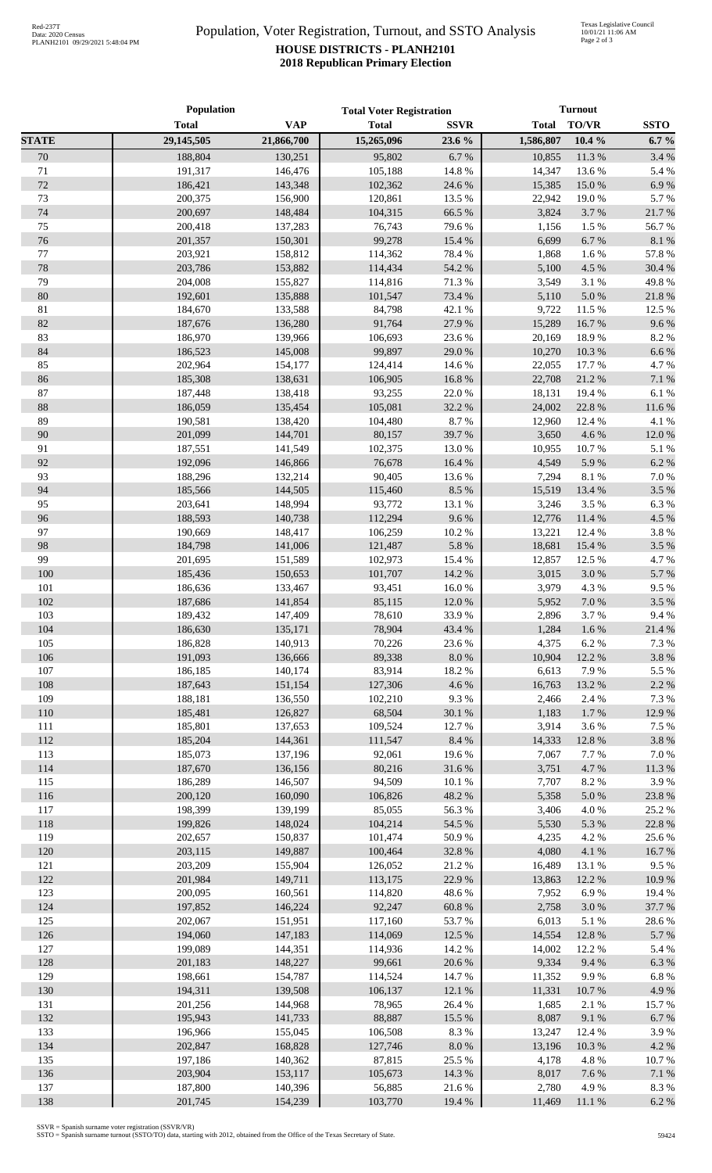## Population, Voter Registration, Turnout, and SSTO Analysis **HOUSE DISTRICTS - PLANH2101 2018 Republican Primary Election**

|              | Population         |                    | <b>Total Voter Registration</b> |                  | <b>Turnout</b>  |                  |                 |
|--------------|--------------------|--------------------|---------------------------------|------------------|-----------------|------------------|-----------------|
|              | <b>Total</b>       | <b>VAP</b>         | <b>Total</b>                    | <b>SSVR</b>      | <b>Total</b>    | <b>TO/VR</b>     | <b>SSTO</b>     |
| <b>STATE</b> | 29,145,505         | 21,866,700         | 15,265,096                      | 23.6 %           | 1,586,807       | $10.4 \%$        | $6.7 \%$        |
| 70           | 188,804            | 130,251            | 95,802                          | 6.7%             | 10,855          | 11.3 %           | 3.4 %           |
| 71           | 191,317            | 146,476            | 105,188                         | 14.8 %           | 14,347          | 13.6 %           | 5.4 %           |
| 72           | 186,421            | 143,348            | 102,362                         | 24.6 %           | 15,385          | 15.0%            | 6.9%            |
| 73           | 200,375            | 156,900            | 120,861                         | 13.5 %           | 22,942          | 19.0%            | 5.7%            |
| 74           | 200,697            | 148,484            | 104,315                         | 66.5 %           | 3,824           | 3.7%             | 21.7%           |
| 75           | 200,418            | 137,283            | 76,743                          | 79.6%            | 1,156           | 1.5 %            | 56.7%           |
| 76           | 201,357            | 150,301            | 99,278                          | 15.4 %           | 6,699           | 6.7%             | 8.1 %           |
| 77           | 203,921            | 158,812            | 114,362                         | 78.4 %           | 1,868           | 1.6%             | 57.8 %          |
| 78           | 203,786            | 153,882            | 114,434                         | 54.2 %           | 5,100           | 4.5 %            | 30.4 %          |
| 79           | 204,008            | 155,827            | 114,816                         | 71.3 %           | 3,549           | 3.1 %            | 49.8%           |
| 80           | 192,601            | 135,888            | 101,547                         | 73.4 %           | 5,110           | 5.0%             | 21.8 %          |
| $81\,$       | 184,670            | 133,588            | 84,798                          | 42.1 %           | 9,722           | 11.5 %           | 12.5 %          |
| 82           | 187,676            | 136,280            | 91,764                          | 27.9%            | 15,289          | 16.7%            | 9.6%            |
| 83           | 186,970            | 139,966            | 106,693                         | 23.6%            | 20,169          | 18.9%            | 8.2 %           |
| 84           | 186,523            | 145,008            | 99,897                          | 29.0%            | 10,270          | 10.3%            | 6.6%            |
| 85           | 202,964            | 154,177            | 124,414                         | 14.6 %           | 22,055          | 17.7 %           | 4.7%            |
| 86           | 185,308            | 138,631            | 106,905                         | 16.8%            | 22,708          | 21.2%            | 7.1 %           |
| 87           | 187,448            | 138,418            | 93,255                          | 22.0%            | 18,131          | 19.4 %           | $6.1~\%$        |
| $88\,$<br>89 | 186,059            | 135,454<br>138,420 | 105,081                         | 32.2 %           | 24,002          | 22.8 %           | $11.6\ \%$      |
| 90           | 190,581<br>201,099 | 144,701            | 104,480<br>80,157               | 8.7%<br>39.7%    | 12,960<br>3,650 | 12.4 %<br>4.6%   | 4.1 %<br>12.0 % |
| 91           | 187,551            | 141,549            |                                 |                  |                 | 10.7%            |                 |
| 92           | 192,096            | 146,866            | 102,375<br>76,678               | 13.0 %<br>16.4 % | 10,955<br>4,549 | 5.9%             | 5.1 %<br>6.2 %  |
| 93           | 188,296            | 132,214            | 90,405                          | 13.6 %           | 7,294           | 8.1 %            | $7.0\ \%$       |
| 94           | 185,566            | 144,505            | 115,460                         | 8.5 %            | 15,519          | 13.4 %           | 3.5 %           |
| 95           | 203,641            | 148,994            | 93,772                          | 13.1 %           | 3,246           | 3.5 %            | 6.3%            |
| 96           | 188,593            | 140,738            | 112,294                         | 9.6%             | 12,776          | 11.4 %           | 4.5 %           |
| 97           | 190,669            | 148,417            | 106,259                         | 10.2 %           | 13,221          | 12.4 %           | 3.8 %           |
| 98           | 184,798            | 141,006            | 121,487                         | 5.8%             | 18,681          | 15.4 %           | 3.5 %           |
| 99           | 201,695            | 151,589            | 102,973                         | 15.4 %           | 12,857          | 12.5 %           | 4.7%            |
| 100          | 185,436            | 150,653            | 101,707                         | 14.2 %           | 3,015           | 3.0%             | 5.7%            |
| 101          | 186,636            | 133,467            | 93,451                          | $16.0\ \%$       | 3,979           | 4.3 %            | 9.5%            |
| 102          | 187,686            | 141,854            | 85,115                          | 12.0%            | 5,952           | $7.0\ \%$        | 3.5%            |
| 103          | 189,432            | 147,409            | 78,610                          | 33.9%            | 2,896           | 3.7%             | 9.4%            |
| 104          | 186,630            | 135,171            | 78,904                          | 43.4 %           |                 | 1,284 1.6 %      | 21.4%           |
| 105          | 186,828            | 140,913            | 70,226                          | 23.6%            | 4,375           | 6.2%             | 7.3 %           |
| 106          | 191,093            | 136,666            | 89,338                          | $8.0\ \%$        | 10,904          | 12.2 %           | 3.8 %           |
| 107          | 186,185            | 140,174            | 83,914                          | 18.2%            | 6,613           | 7.9%             | 5.5 %           |
| 108          | 187,643            | 151,154            | 127,306                         | 4.6 %            | 16,763          | 13.2 %           | 2.2 %           |
| 109          | 188,181            | 136,550            | 102,210                         | 9.3%             | 2,466           | 2.4 %            | 7.3 %           |
| 110          | 185,481            | 126,827            | 68,504                          | 30.1 %           | 1,183           | 1.7%             | 12.9%           |
| 111          | 185,801            | 137,653            | 109,524                         | 12.7 %           | 3,914           | 3.6%             | 7.5 %           |
| 112          | 185,204            | 144,361            | 111,547                         | 8.4 %            | 14,333          | 12.8 %           | 3.8 %           |
| 113          | 185,073            | 137,196            | 92,061                          | 19.6%            | 7,067           | 7.7 %            | 7.0%            |
| 114          | 187,670            | 136,156            | 80,216                          | 31.6%            | 3,751           | 4.7%             | 11.3 %          |
| 115          | 186,289            | 146,507            | 94,509                          | 10.1 %           | 7,707           | 8.2%             | 3.9%            |
| 116          | 200,120            | 160,090            | 106,826                         | 48.2%            | 5,358           | $5.0\ \%$        | 23.8%           |
| 117          | 198,399            | 139,199            | 85,055                          | 56.3%            | 3,406           | 4.0%             | 25.2 %          |
| 118          | 199,826            | 148,024            | 104,214                         | 54.5 %           | 5,530           | 5.3 %            | 22.8 %          |
| 119          | 202,657            | 150,837            | 101,474                         | 50.9%            | 4,235           | 4.2 %            | 25.6%           |
| 120          | 203,115            | 149,887            | 100,464                         | 32.8%            | 4,080           | 4.1 %            | 16.7%           |
| 121          | 203,209            | 155,904            | 126,052                         | 21.2%            | 16,489          | 13.1 %           | 9.5%            |
| 122          | 201,984            | 149,711            | 113,175                         | 22.9%            | 13,863          | 12.2 %           | 10.9%           |
| 123          | 200,095            | 160,561            | 114,820                         | 48.6%            | 7,952           | 6.9%             | 19.4 %          |
| 124          | 197,852            | 146,224            | 92,247                          | $60.8~\%$        | 2,758           | 3.0%             | 37.7 %          |
| 125<br>126   | 202,067<br>194,060 | 151,951            | 117,160                         | 53.7%<br>12.5 %  | 6,013<br>14,554 | 5.1 %            | 28.6%           |
| 127          | 199,089            | 147,183            | 114,069<br>114,936              | 14.2 %           |                 | 12.8 %<br>12.2 % | 5.7%<br>5.4 %   |
| 128          |                    | 144,351            |                                 |                  | 14,002          |                  |                 |
| 129          | 201,183<br>198,661 | 148,227<br>154,787 | 99,661<br>114,524               | 20.6 %<br>14.7 % | 9,334<br>11,352 | 9.4%<br>9.9%     | 6.3%<br>6.8%    |
| 130          | 194,311            | 139,508            | 106,137                         | 12.1 %           | 11,331          | $10.7~\%$        | 4.9%            |
| 131          | 201,256            | 144,968            | 78,965                          | 26.4%            | 1,685           | 2.1 %            | 15.7%           |
| 132          | 195,943            | 141,733            | 88,887                          | 15.5 %           | 8,087           | 9.1 %            | 6.7%            |
| 133          | 196,966            | 155,045            | 106,508                         | 8.3 %            | 13,247          | 12.4 %           | 3.9%            |
| 134          | 202,847            | 168,828            | 127,746                         | $8.0\ \%$        | 13,196          | 10.3%            | 4.2 %           |
| 135          | 197,186            | 140,362            | 87,815                          | 25.5 %           | 4,178           | 4.8%             | 10.7%           |
| 136          | 203,904            | 153,117            | 105,673                         | 14.3 %           | 8,017           | 7.6 %            | $7.1~\%$        |
| 137          | 187,800            | 140,396            | 56,885                          | 21.6%            | 2,780           | 4.9%             | 8.3%            |
| 138          | 201,745            | 154,239            | 103,770                         | 19.4 %           | 11,469          | 11.1 %           | 6.2%            |